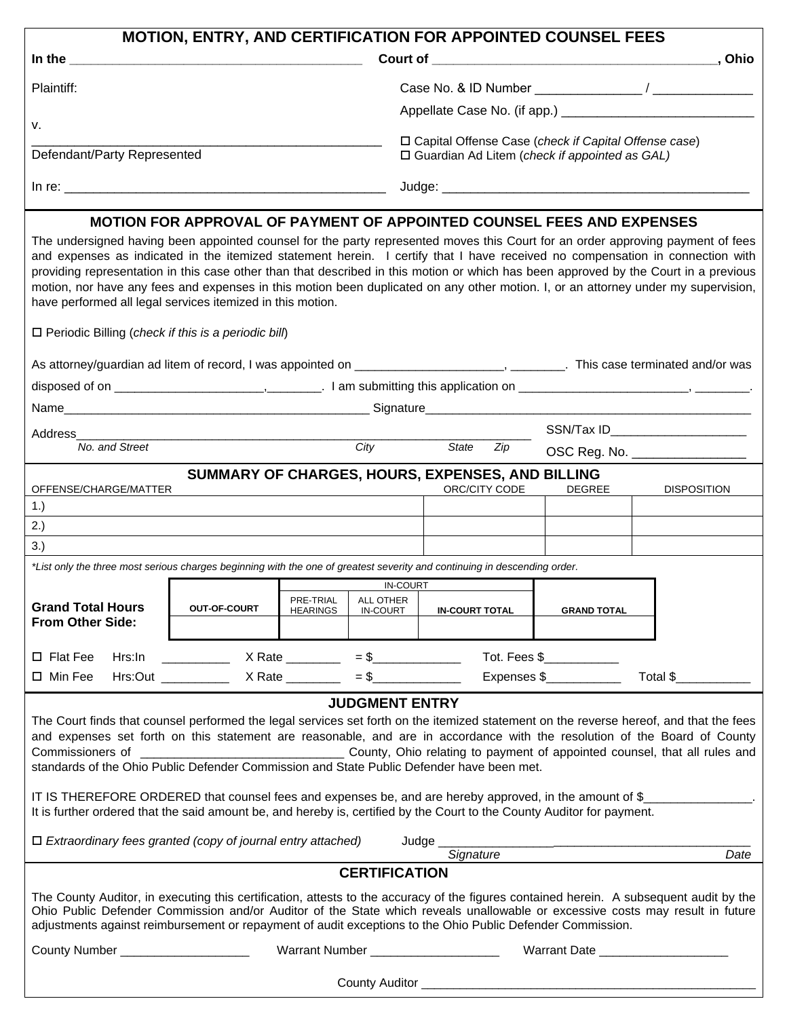| <b>MOTION, ENTRY, AND CERTIFICATION FOR APPOINTED COUNSEL FEES</b>                                                                                                                                                                                                                                                                                                                                                                                                                                                                                                                                                                                                         |                                                                            |                 |                                        |                                                                                                           |                                |                                |  |  |  |
|----------------------------------------------------------------------------------------------------------------------------------------------------------------------------------------------------------------------------------------------------------------------------------------------------------------------------------------------------------------------------------------------------------------------------------------------------------------------------------------------------------------------------------------------------------------------------------------------------------------------------------------------------------------------------|----------------------------------------------------------------------------|-----------------|----------------------------------------|-----------------------------------------------------------------------------------------------------------|--------------------------------|--------------------------------|--|--|--|
|                                                                                                                                                                                                                                                                                                                                                                                                                                                                                                                                                                                                                                                                            |                                                                            |                 |                                        |                                                                                                           |                                |                                |  |  |  |
| Plaintiff:                                                                                                                                                                                                                                                                                                                                                                                                                                                                                                                                                                                                                                                                 |                                                                            |                 |                                        |                                                                                                           |                                |                                |  |  |  |
|                                                                                                                                                                                                                                                                                                                                                                                                                                                                                                                                                                                                                                                                            |                                                                            |                 |                                        |                                                                                                           |                                |                                |  |  |  |
| ν.                                                                                                                                                                                                                                                                                                                                                                                                                                                                                                                                                                                                                                                                         |                                                                            |                 |                                        |                                                                                                           |                                |                                |  |  |  |
| Defendant/Party Represented                                                                                                                                                                                                                                                                                                                                                                                                                                                                                                                                                                                                                                                |                                                                            |                 |                                        | □ Capital Offense Case (check if Capital Offense case)<br>□ Guardian Ad Litem (check if appointed as GAL) |                                |                                |  |  |  |
|                                                                                                                                                                                                                                                                                                                                                                                                                                                                                                                                                                                                                                                                            |                                                                            |                 |                                        | Judge: <u>www.communications.communications.com</u>                                                       |                                |                                |  |  |  |
|                                                                                                                                                                                                                                                                                                                                                                                                                                                                                                                                                                                                                                                                            |                                                                            |                 |                                        | <b>MOTION FOR APPROVAL OF PAYMENT OF APPOINTED COUNSEL FEES AND EXPENSES</b>                              |                                |                                |  |  |  |
| The undersigned having been appointed counsel for the party represented moves this Court for an order approving payment of fees<br>and expenses as indicated in the itemized statement herein. I certify that I have received no compensation in connection with<br>providing representation in this case other than that described in this motion or which has been approved by the Court in a previous<br>motion, nor have any fees and expenses in this motion been duplicated on any other motion. I, or an attorney under my supervision,<br>have performed all legal services itemized in this motion.<br>$\Box$ Periodic Billing (check if this is a periodic bill) |                                                                            |                 |                                        |                                                                                                           |                                |                                |  |  |  |
|                                                                                                                                                                                                                                                                                                                                                                                                                                                                                                                                                                                                                                                                            |                                                                            |                 |                                        |                                                                                                           |                                |                                |  |  |  |
| As attorney/guardian ad litem of record, I was appointed on _________________________, _________. This case terminated and/or was                                                                                                                                                                                                                                                                                                                                                                                                                                                                                                                                          |                                                                            |                 |                                        |                                                                                                           |                                |                                |  |  |  |
|                                                                                                                                                                                                                                                                                                                                                                                                                                                                                                                                                                                                                                                                            |                                                                            |                 |                                        |                                                                                                           |                                |                                |  |  |  |
|                                                                                                                                                                                                                                                                                                                                                                                                                                                                                                                                                                                                                                                                            |                                                                            |                 |                                        |                                                                                                           |                                |                                |  |  |  |
| Address                                                                                                                                                                                                                                                                                                                                                                                                                                                                                                                                                                                                                                                                    |                                                                            |                 | $\overline{City}$                      |                                                                                                           | SSN/Tax ID____________________ |                                |  |  |  |
| No. and Street                                                                                                                                                                                                                                                                                                                                                                                                                                                                                                                                                                                                                                                             |                                                                            |                 |                                        | State<br>Zip                                                                                              |                                | OSC Reg. No. _________________ |  |  |  |
| OFFENSE/CHARGE/MATTER                                                                                                                                                                                                                                                                                                                                                                                                                                                                                                                                                                                                                                                      |                                                                            |                 |                                        | SUMMARY OF CHARGES, HOURS, EXPENSES, AND BILLING<br>ORC/CITY CODE                                         | <b>DEGREE</b>                  | <b>DISPOSITION</b>             |  |  |  |
| 1.                                                                                                                                                                                                                                                                                                                                                                                                                                                                                                                                                                                                                                                                         |                                                                            |                 |                                        |                                                                                                           |                                |                                |  |  |  |
| 2.)                                                                                                                                                                                                                                                                                                                                                                                                                                                                                                                                                                                                                                                                        |                                                                            |                 |                                        |                                                                                                           |                                |                                |  |  |  |
| 3.)                                                                                                                                                                                                                                                                                                                                                                                                                                                                                                                                                                                                                                                                        |                                                                            |                 |                                        |                                                                                                           |                                |                                |  |  |  |
| *List only the three most serious charges beginning with the one of greatest severity and continuing in descending order.                                                                                                                                                                                                                                                                                                                                                                                                                                                                                                                                                  |                                                                            |                 |                                        |                                                                                                           |                                |                                |  |  |  |
|                                                                                                                                                                                                                                                                                                                                                                                                                                                                                                                                                                                                                                                                            |                                                                            |                 | <b>IN-COURT</b><br>PRE-TRIAL ALL OTHER |                                                                                                           |                                |                                |  |  |  |
| <b>Grand Total Hours</b><br><b>From Other Side:</b>                                                                                                                                                                                                                                                                                                                                                                                                                                                                                                                                                                                                                        | <b>OUT-OF-COURT</b>                                                        | <b>HEARINGS</b> | <b>IN-COURT</b>                        | <b>IN-COURT TOTAL</b>                                                                                     | <b>GRAND TOTAL</b>             |                                |  |  |  |
|                                                                                                                                                                                                                                                                                                                                                                                                                                                                                                                                                                                                                                                                            |                                                                            |                 |                                        |                                                                                                           |                                |                                |  |  |  |
| $\square$ Flat Fee                                                                                                                                                                                                                                                                                                                                                                                                                                                                                                                                                                                                                                                         |                                                                            |                 |                                        | Hrs:ln ______________ X Rate __________ = \$___________________ Tot. Fees \$___________                   |                                |                                |  |  |  |
| □ Min Fee                                                                                                                                                                                                                                                                                                                                                                                                                                                                                                                                                                                                                                                                  |                                                                            |                 |                                        | Hrs:Out ___________ X Rate ________ = \$____________ Expenses \$_________                                 |                                | Total \$                       |  |  |  |
|                                                                                                                                                                                                                                                                                                                                                                                                                                                                                                                                                                                                                                                                            |                                                                            |                 | <b>JUDGMENT ENTRY</b>                  |                                                                                                           |                                |                                |  |  |  |
| The Court finds that counsel performed the legal services set forth on the itemized statement on the reverse hereof, and that the fees<br>and expenses set forth on this statement are reasonable, and are in accordance with the resolution of the Board of County<br>standards of the Ohio Public Defender Commission and State Public Defender have been met.<br>IT IS THEREFORE ORDERED that counsel fees and expenses be, and are hereby approved, in the amount of \$<br>It is further ordered that the said amount be, and hereby is, certified by the Court to the County Auditor for payment.                                                                     |                                                                            |                 |                                        |                                                                                                           |                                |                                |  |  |  |
| $\Box$ Extraordinary fees granted (copy of journal entry attached)                                                                                                                                                                                                                                                                                                                                                                                                                                                                                                                                                                                                         |                                                                            |                 |                                        |                                                                                                           |                                |                                |  |  |  |
| Signature<br>Date                                                                                                                                                                                                                                                                                                                                                                                                                                                                                                                                                                                                                                                          |                                                                            |                 |                                        |                                                                                                           |                                |                                |  |  |  |
| <b>CERTIFICATION</b><br>The County Auditor, in executing this certification, attests to the accuracy of the figures contained herein. A subsequent audit by the<br>Ohio Public Defender Commission and/or Auditor of the State which reveals unallowable or excessive costs may result in future<br>adjustments against reimbursement or repayment of audit exceptions to the Ohio Public Defender Commission.                                                                                                                                                                                                                                                             |                                                                            |                 |                                        |                                                                                                           |                                |                                |  |  |  |
| County Number ______________________                                                                                                                                                                                                                                                                                                                                                                                                                                                                                                                                                                                                                                       | Warrant Number ______________________<br>Warrant Date ____________________ |                 |                                        |                                                                                                           |                                |                                |  |  |  |
|                                                                                                                                                                                                                                                                                                                                                                                                                                                                                                                                                                                                                                                                            |                                                                            |                 |                                        |                                                                                                           |                                |                                |  |  |  |